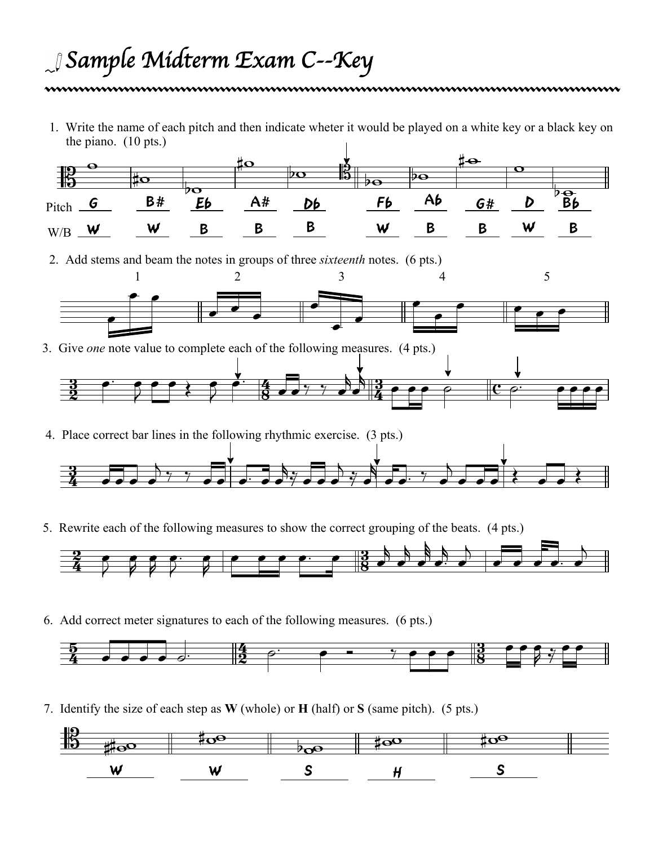## *Sample Midterm Exam* C*--Key*

1. Write the name of each pitch and then indicate wheter it would be played on a white key or a black key on the piano. (10 pts.)



4. Place correct bar lines in the following rhythmic exercise. (3 pts.)



5. Rewrite each of the following measures to show the correct grouping of the beats. (4 pts.)



6. Add correct meter signatures to each of the following measures. (6 pts.)



7. Identify the size of each step as **W** (whole) or **H** (half) or **S** (same pitch). (5 pts.)

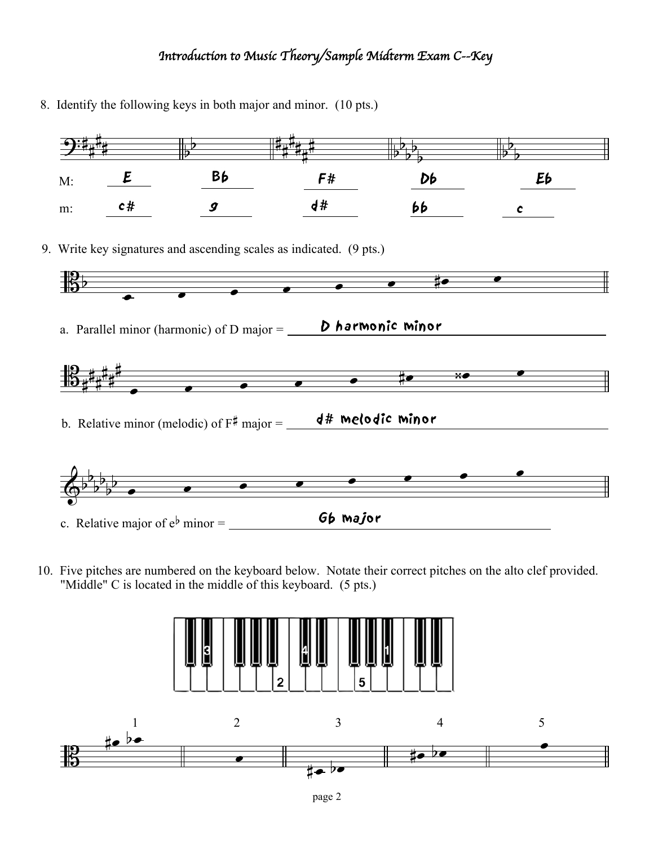## *Introduction to Music Theory/Sample Midterm Exam* C*--Key*

- $\overline{\mathbf{G}}$  $\frac{1}{4}$  $\sharp$ 1 M: m: E  $\frac{1}{2}$  $\overline{b}$ Bb #  $\frac{1}{4}$  $\sharp$  $\frac{1}{4}$  $\frac{1}{4}$  $\sharp$ F# Db  $\frac{1}{2}$  $\overline{b}$  $\frac{1}{2}$  $\overline{2}$  $\overline{\phantom{a}}$  $\overline{b}$  $\overline{b}$ Eb |<br>|<br>|  $\begin{array}{cccccccccc} c \# & & g & & d \# & & b b & & c \end{array}$ 报 9. Write key signatures and ascending scales as indicated. (9 pts.) a. Parallel minor (harmonic) of D major  $=$   $\blacksquare$  D harmonic minor  $\bullet$   $\bullet$   $\bullet$   $\bullet$   $\mathbb{B}_{\sharp}$ ŧ  $\pm$  $\sharp$  $\frac{1}{4}$  $\sharp$ b. Relative minor (melodic) of  $F^{\#}$  major =  $\sqrt{4 \# \text{ Melodiv}}$  minor  $\overline{\phantom{a}}$   $\overline{\phantom{a}}$   $\overline{\phantom{a}}$   $\overline{\mathbb{Q}^{\flat}}$  $\frac{1}{2}$  $\overline{b}$  $\frac{1}{2}$  $\frac{1}{2}$  $\frac{1}{2}$ c. Relative major of  $e^{\flat}$  minor =  $\begin{array}{c} \text{66~}\text{major} \end{array}$  $\qquad \qquad \bullet \qquad \bullet$  $\qquad \qquad \bullet \qquad \bullet \qquad \bullet$ l
- 10. Five pitches are numbered on the keyboard below. Notate their correct pitches on the alto clef provided. "Middle" C is located in the middle of this keyboard. (5 pts.)



8. Identify the following keys in both major and minor. (10 pts.)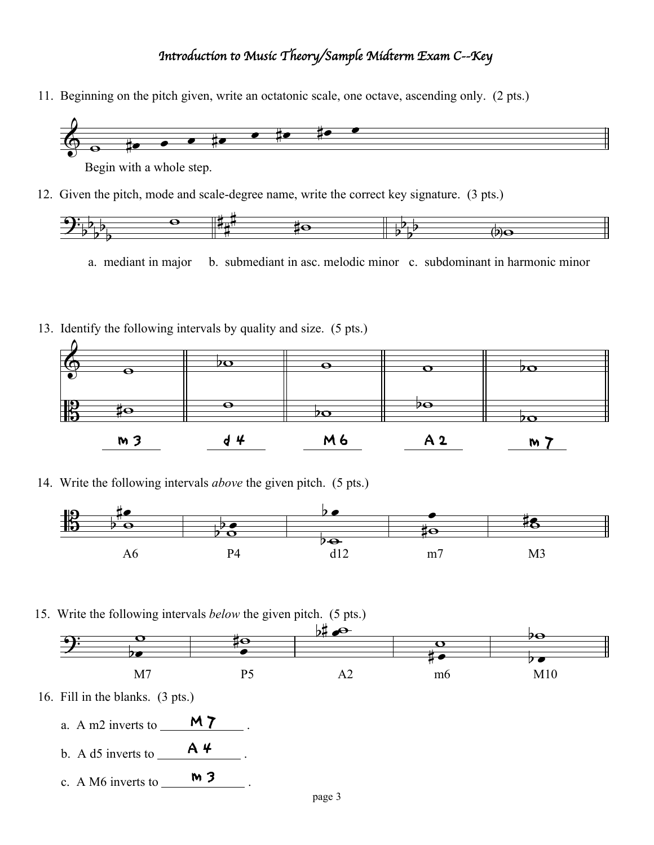## *Introduction to Music Theory/Sample Midterm Exam* C*--Key*

11. Beginning on the pitch given, write an octatonic scale, one octave, ascending only. (2 pts.)



Begin with a whole step.

12. Given the pitch, mode and scale-degree name, write the correct key signature. (3 pts.)



a. mediant in major b. submediant in asc. melodic minor c. subdominant in harmonic minor

13. Identify the following intervals by quality and size. (5 pts.)



14. Write the following intervals *above* the given pitch. (5 pts.)



15. Write the following intervals *below* the given pitch. (5 pts.)